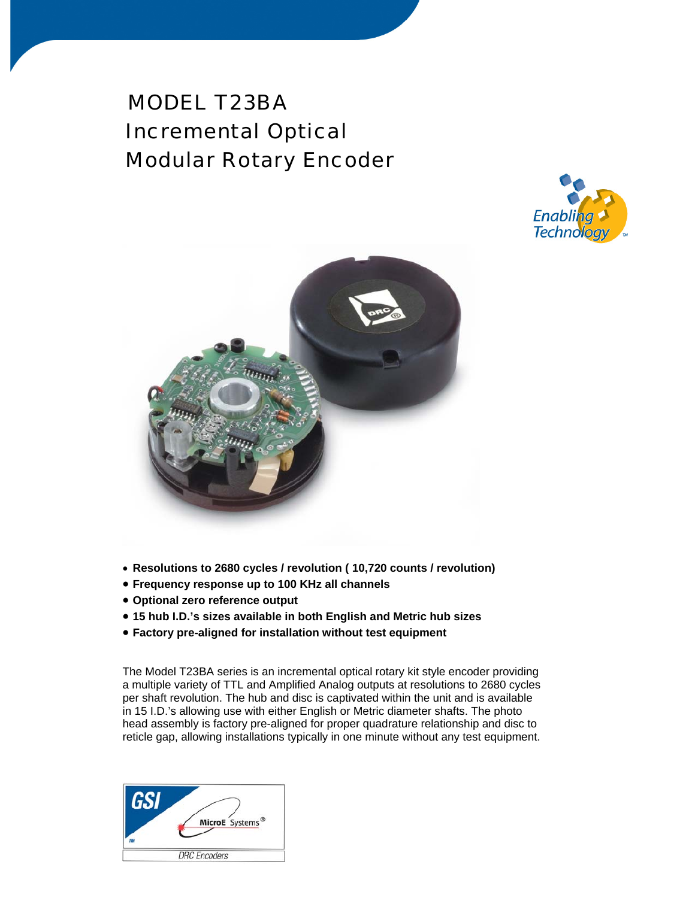# MODEL T23BA Incremental Optical Modular Rotary Encoder





- **Resolutions to 2680 cycles / revolution ( 10,720 counts / revolution)**
- **Frequency response up to 100 KHz all channels**
- **Optional zero reference output**
- **15 hub I.D.'s sizes available in both English and Metric hub sizes**
- **Factory pre-aligned for installation without test equipment**

The Model T23BA series is an incremental optical rotary kit style encoder providing a multiple variety of TTL and Amplified Analog outputs at resolutions to 2680 cycles per shaft revolution. The hub and disc is captivated within the unit and is available in 15 I.D.'s allowing use with either English or Metric diameter shafts. The photo head assembly is factory pre-aligned for proper quadrature relationship and disc to reticle gap, allowing installations typically in one minute without any test equipment.

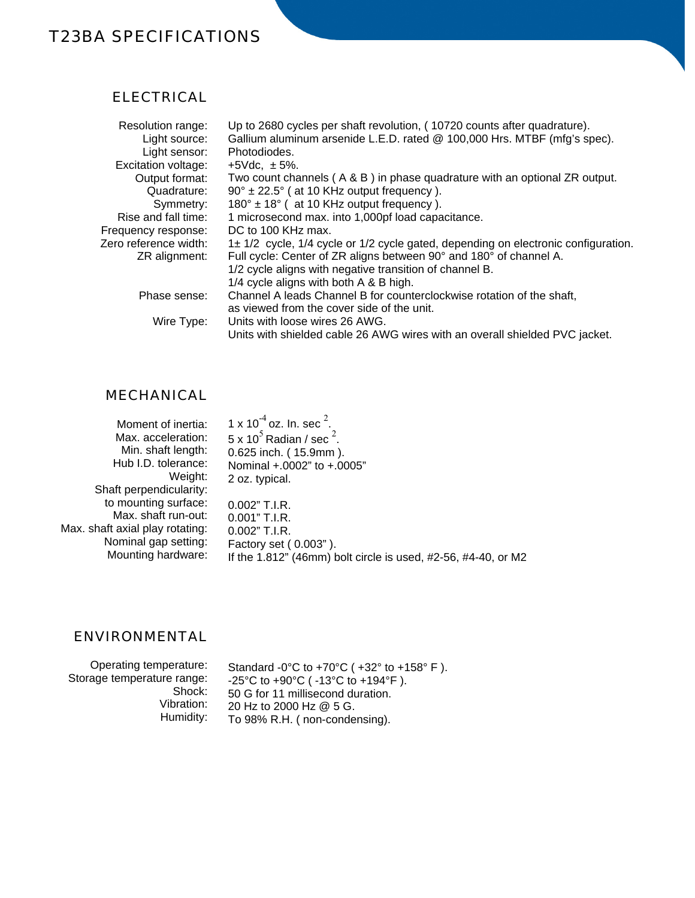## T23BA SPECIFICATIONS

#### ELECTRICAL

| Resolution range:     | Up to 2680 cycles per shaft revolution, (10720 counts after quadrature).           |  |
|-----------------------|------------------------------------------------------------------------------------|--|
| Light source:         | Gallium aluminum arsenide L.E.D. rated @ 100,000 Hrs. MTBF (mfg's spec).           |  |
| Light sensor:         | Photodiodes.                                                                       |  |
| Excitation voltage:   | $+5$ Vdc. $\pm$ 5%.                                                                |  |
| Output format:        | Two count channels (A & B) in phase quadrature with an optional ZR output.         |  |
| Quadrature:           | $90^\circ \pm 22.5^\circ$ (at 10 KHz output frequency).                            |  |
| Symmetry:             | $180^\circ \pm 18^\circ$ (at 10 KHz output frequency).                             |  |
| Rise and fall time:   | 1 microsecond max. into 1,000pf load capacitance.                                  |  |
| Frequency response:   | DC to 100 KHz max.                                                                 |  |
| Zero reference width: | 1± 1/2 cycle, 1/4 cycle or 1/2 cycle gated, depending on electronic configuration. |  |
| ZR alignment:         | Full cycle: Center of ZR aligns between 90° and 180° of channel A.                 |  |
|                       | 1/2 cycle aligns with negative transition of channel B.                            |  |
|                       | 1/4 cycle aligns with both A & B high.                                             |  |
| Phase sense:          | Channel A leads Channel B for counterclockwise rotation of the shaft,              |  |
|                       | as viewed from the cover side of the unit.                                         |  |
| Wire Type:            | Units with loose wires 26 AWG.                                                     |  |
|                       | Units with shielded cable 26 AWG wires with an overall shielded PVC jacket.        |  |

### MECHANICAL

| Moment of inertia:              | 1 x 10 <sup>-4</sup> oz. In. sec $^{2}$ .                     |
|---------------------------------|---------------------------------------------------------------|
| Max. acceleration:              | $5 \times 10^5$ Radian / sec <sup>2</sup> .                   |
| Min. shaft length:              | 0.625 inch. (15.9mm).                                         |
| Hub I.D. tolerance:             | Nominal +.0002" to +.0005"                                    |
| Weight:                         | 2 oz. typical.                                                |
| Shaft perpendicularity:         |                                                               |
| to mounting surface:            | 0.002" T.I.R.                                                 |
| Max. shaft run-out:             | 0.001" T.I.R.                                                 |
| Max. shaft axial play rotating: | $0.002"$ T.I.R.                                               |
| Nominal gap setting:            | Factory set (0.003").                                         |
| Mounting hardware:              | If the 1.812" (46mm) bolt circle is used, #2-56, #4-40, or M2 |

#### ENVIRONMENTAL

| Humidity:<br>To 98% R.H. (non-condensing). | Shock:<br>50 G for 11 millisecond duration.<br>Vibration:<br>20 Hz to 2000 Hz @ 5 G. | Operating temperature:<br>Standard -0°C to +70°C ( $+32$ ° to +158°F).<br>Storage temperature range:<br>-25°C to +90°C ( $-13$ °C to +194°F). |
|--------------------------------------------|--------------------------------------------------------------------------------------|-----------------------------------------------------------------------------------------------------------------------------------------------|
|--------------------------------------------|--------------------------------------------------------------------------------------|-----------------------------------------------------------------------------------------------------------------------------------------------|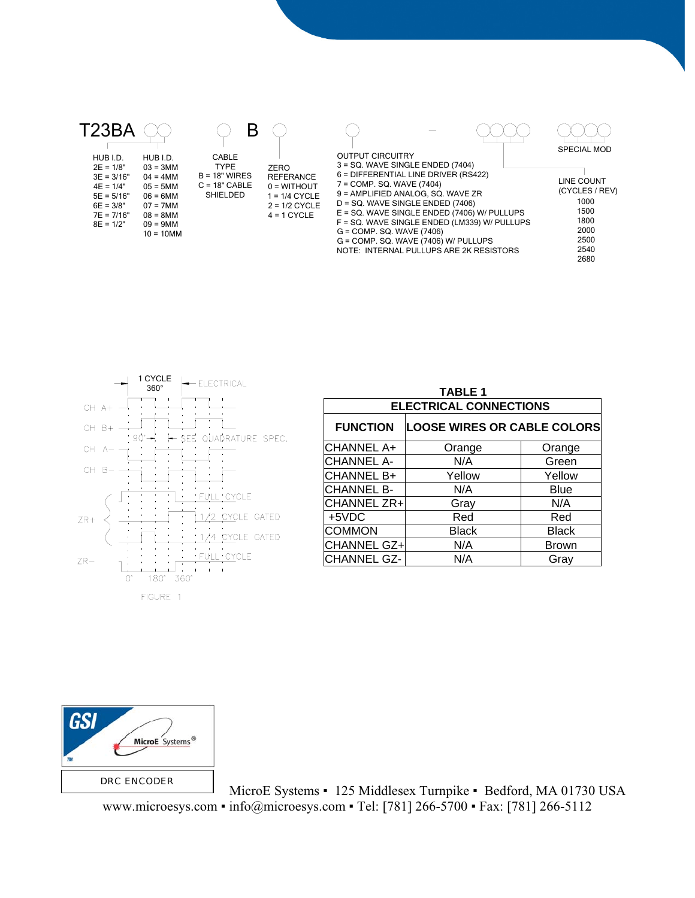



| <b>TABLE 1</b>                |                                    |              |  |  |  |  |
|-------------------------------|------------------------------------|--------------|--|--|--|--|
| <b>ELECTRICAL CONNECTIONS</b> |                                    |              |  |  |  |  |
| <b>FUNCTION</b>               | <b>LOOSE WIRES OR CABLE COLORS</b> |              |  |  |  |  |
| CHANNEL A+                    | Orange                             | Orange       |  |  |  |  |
| <b>CHANNEL A-</b>             | N/A                                | Green        |  |  |  |  |
| CHANNEL B+                    | Yellow                             | Yellow       |  |  |  |  |
| <b>CHANNEL B-</b>             | N/A                                | Blue         |  |  |  |  |
| CHANNEL ZR+                   | Gray                               | N/A          |  |  |  |  |
| +5VDC                         | Red                                | Red          |  |  |  |  |
| <b>COMMON</b>                 | <b>Black</b>                       | <b>Black</b> |  |  |  |  |
| CHANNEL GZ+                   | N/A                                | Brown        |  |  |  |  |
| <b>CHANNEL GZ-</b>            | N/A                                | Gray         |  |  |  |  |
|                               |                                    |              |  |  |  |  |



MicroE Systems • 125 Middlesex Turnpike • Bedford, MA 01730 USA www.microesys.com ▪ info@microesys.com ▪ Tel: [781] 266-5700 ▪ Fax: [781] 266-5112